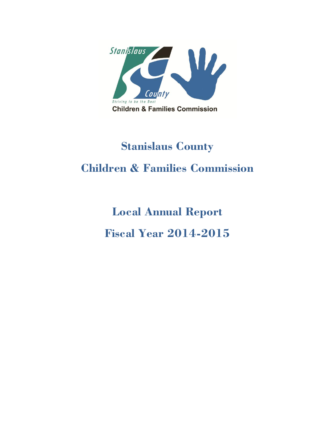

# Stanislaus County Children & Families Commission

Local Annual Report Fiscal Year 2014-2015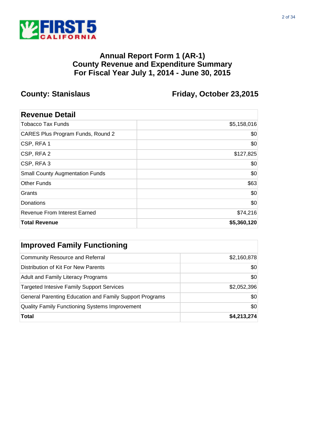

**County: Stanislaus Friday, October 23,2015**

| \$5,158,016 |
|-------------|
| \$0         |
| \$0         |
| \$127,825   |
| \$0         |
| \$0         |
| \$63        |
| \$0         |
| \$0         |
| \$74,216    |
| \$5,360,120 |
|             |

| <b>Improved Family Functioning</b>                      |             |  |
|---------------------------------------------------------|-------------|--|
| <b>Community Resource and Referral</b>                  | \$2,160,878 |  |
| Distribution of Kit For New Parents                     | \$0         |  |
| <b>Adult and Family Literacy Programs</b>               | \$0         |  |
| <b>Targeted Intesive Family Support Services</b>        | \$2,052,396 |  |
| General Parenting Education and Family Support Programs | \$0         |  |
| <b>Quality Family Functioning Systems Improvement</b>   | \$0         |  |
| <b>Total</b>                                            | \$4,213,274 |  |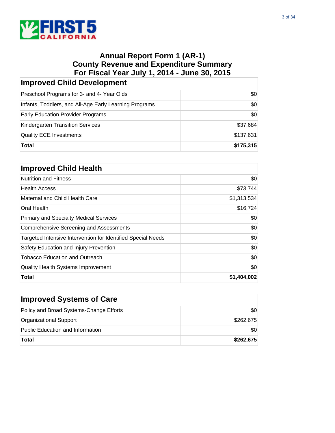

| <b>Improved Child Development</b>                      |           |  |
|--------------------------------------------------------|-----------|--|
| Preschool Programs for 3- and 4- Year Olds             | \$0       |  |
| Infants, Toddlers, and All-Age Early Learning Programs | \$0       |  |
| Early Education Provider Programs                      | \$0       |  |
| Kindergarten Transition Services                       | \$37,684  |  |
| <b>Quality ECE Investments</b>                         | \$137,631 |  |
| Total                                                  | \$175,315 |  |

| <b>Improved Child Health</b>                                 |             |  |
|--------------------------------------------------------------|-------------|--|
| <b>Nutrition and Fitness</b>                                 | \$0         |  |
| <b>Health Access</b>                                         | \$73,744    |  |
| Maternal and Child Health Care                               | \$1,313,534 |  |
| Oral Health                                                  | \$16,724    |  |
| <b>Primary and Specialty Medical Services</b>                | \$0         |  |
| <b>Comprehensive Screening and Assessments</b>               | \$0         |  |
| Targeted Intensive Intervention for Identified Special Needs | \$0         |  |
| Safety Education and Injury Prevention                       | \$0         |  |
| <b>Tobacco Education and Outreach</b>                        | \$0         |  |
| <b>Quality Health Systems Improvement</b>                    | \$0         |  |
| Total                                                        | \$1,404,002 |  |

| <b>Improved Systems of Care</b>         |           |
|-----------------------------------------|-----------|
| Policy and Broad Systems-Change Efforts | \$0       |
| Organizational Support                  | \$262.675 |
| Public Education and Information        | \$0       |
| <b>Total</b>                            | \$262,675 |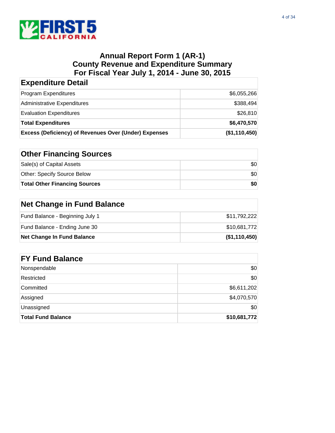

| <b>Expenditure Detail</b>                                    |               |
|--------------------------------------------------------------|---------------|
| <b>Program Expenditures</b>                                  | \$6,055,266   |
| Administrative Expenditures                                  | \$388,494     |
| <b>Evaluation Expenditures</b>                               | \$26,810      |
| <b>Total Expenditures</b>                                    | \$6,470,570   |
| <b>Excess (Deficiency) of Revenues Over (Under) Expenses</b> | (\$1,110,450) |

| <b>Other Financing Sources</b>       |     |
|--------------------------------------|-----|
| Sale(s) of Capital Assets            | \$0 |
| Other: Specify Source Below          | \$0 |
| <b>Total Other Financing Sources</b> | \$0 |

## **Net Change in Fund Balance**

| Net Change In Fund Balance      | (\$1,110,450) |
|---------------------------------|---------------|
| Fund Balance - Ending June 30   | \$10.681.772  |
| Fund Balance - Beginning July 1 | \$11,792,222  |

| <b>FY Fund Balance</b>    |              |  |
|---------------------------|--------------|--|
| Nonspendable              | \$0          |  |
| Restricted                | \$0          |  |
| Committed                 | \$6,611,202  |  |
| Assigned                  | \$4,070,570  |  |
| Unassigned                | \$0          |  |
| <b>Total Fund Balance</b> | \$10,681,772 |  |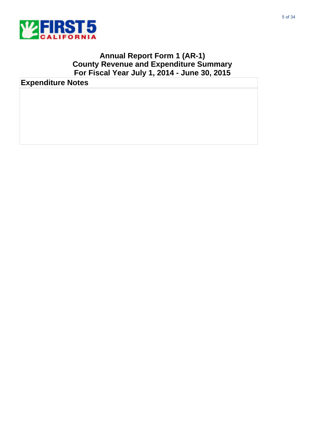

**Expenditure Notes**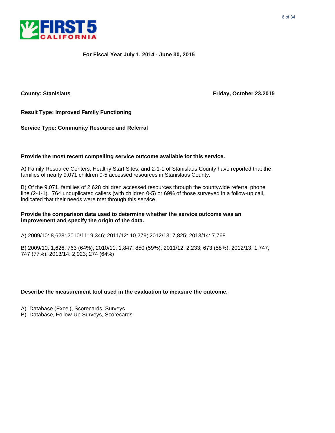

**County: Stanislaus Friday, October 23,2015**

**Result Type: Improved Family Functioning**

**Service Type: Community Resource and Referral** 

#### **Provide the most recent compelling service outcome available for this service.**

A) Family Resource Centers, Healthy Start Sites, and 2-1-1 of Stanislaus County have reported that the families of nearly 9,071 children 0-5 accessed resources in Stanislaus County.

B) Of the 9,071, families of 2,628 children accessed resources through the countywide referral phone line (2-1-1). 764 unduplicated callers (with children 0-5) or 69% of those surveyed in a follow-up call, indicated that their needs were met through this service.

#### **Provide the comparison data used to determine whether the service outcome was an improvement and specify the origin of the data.**

A) 2009/10: 8,628: 2010/11: 9,346; 2011/12: 10,279; 2012/13: 7,825; 2013/14: 7,768

B) 2009/10: 1,626; 763 (64%); 2010/11; 1,847; 850 (59%); 2011/12: 2,233; 673 (58%); 2012/13: 1,747; 747 (77%); 2013/14: 2,023; 274 (64%)

- A) Database (Excel), Scorecards, Surveys
- B) Database, Follow-Up Surveys, Scorecards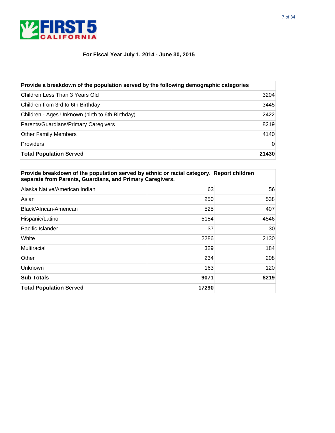

| Provide a breakdown of the population served by the following demographic categories |          |  |
|--------------------------------------------------------------------------------------|----------|--|
| Children Less Than 3 Years Old                                                       | 3204     |  |
| Children from 3rd to 6th Birthday                                                    | 3445     |  |
| Children - Ages Unknown (birth to 6th Birthday)                                      | 2422     |  |
| Parents/Guardians/Primary Caregivers                                                 | 8219     |  |
| <b>Other Family Members</b>                                                          | 4140     |  |
| <b>Providers</b>                                                                     | $\Omega$ |  |
| <b>Total Population Served</b>                                                       | 21430    |  |

| Provide breakdown of the population served by ethnic or racial category. Report children<br>separate from Parents, Guardians, and Primary Caregivers. |      |      |
|-------------------------------------------------------------------------------------------------------------------------------------------------------|------|------|
| Alaska Native/American Indian                                                                                                                         | 63   | 56   |
| Asian                                                                                                                                                 | 250  | 538  |
| Black/African-American                                                                                                                                | 525  | 407  |
| Hispanic/Latino                                                                                                                                       | 5184 | 4546 |
| Pacific Islander                                                                                                                                      | 37   | 30   |
| White                                                                                                                                                 | 2286 | 2130 |
| Multiracial                                                                                                                                           | 329  | 184  |
| Other                                                                                                                                                 | 234  | 208  |
| <b>Unknown</b>                                                                                                                                        | 163  | 120  |
| <b>Sub Totals</b>                                                                                                                                     | 9071 | 8219 |

**Total Population Served 17290**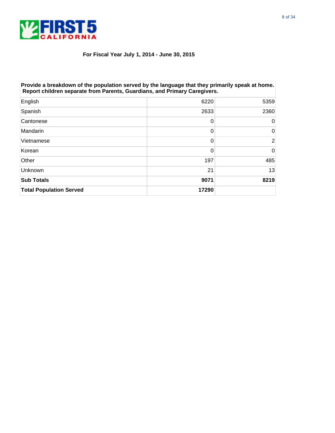

| Provide a breakdown of the population served by the language that they primarily speak at home.<br>Report children separate from Parents, Guardians, and Primary Caregivers. |       |      |
|------------------------------------------------------------------------------------------------------------------------------------------------------------------------------|-------|------|
| English                                                                                                                                                                      | 6220  | 5359 |
| Spanish                                                                                                                                                                      | 2633  | 2360 |
| Cantonese                                                                                                                                                                    | 0     | 0    |
| Mandarin                                                                                                                                                                     | 0     | 0    |
| Vietnamese                                                                                                                                                                   | 0     | 2    |
| Korean                                                                                                                                                                       | 0     | 0    |
| Other                                                                                                                                                                        | 197   | 485  |
| Unknown                                                                                                                                                                      | 21    | 13   |
| <b>Sub Totals</b>                                                                                                                                                            | 9071  | 8219 |
| <b>Total Population Served</b>                                                                                                                                               | 17290 |      |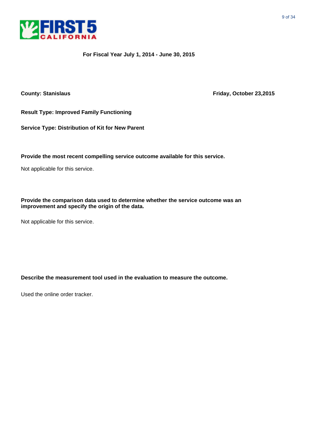

**County: Stanislaus Friday, October 23,2015**

**Result Type: Improved Family Functioning**

**Service Type: Distribution of Kit for New Parent**

**Provide the most recent compelling service outcome available for this service.**

Not applicable for this service.

**Provide the comparison data used to determine whether the service outcome was an improvement and specify the origin of the data.**

Not applicable for this service.

**Describe the measurement tool used in the evaluation to measure the outcome.**

Used the online order tracker.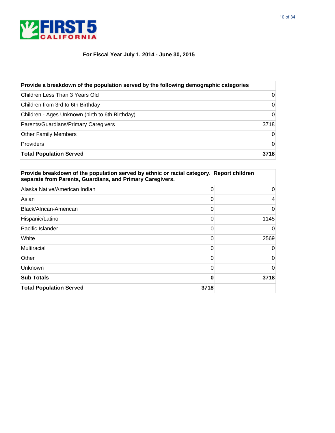



| Provide a breakdown of the population served by the following demographic categories |          |  |
|--------------------------------------------------------------------------------------|----------|--|
| Children Less Than 3 Years Old                                                       | $\Omega$ |  |
| Children from 3rd to 6th Birthday                                                    | $\Omega$ |  |
| Children - Ages Unknown (birth to 6th Birthday)                                      | $\Omega$ |  |
| Parents/Guardians/Primary Caregivers                                                 | 3718     |  |
| <b>Other Family Members</b>                                                          | $\Omega$ |  |
| <b>Providers</b>                                                                     | $\Omega$ |  |
| <b>Total Population Served</b>                                                       | 3718     |  |

| Provide breakdown of the population served by ethnic or racial category. Report children<br>separate from Parents, Guardians, and Primary Caregivers. |      |          |
|-------------------------------------------------------------------------------------------------------------------------------------------------------|------|----------|
| Alaska Native/American Indian                                                                                                                         | 0    | 0        |
| Asian                                                                                                                                                 | 0    | 4        |
| Black/African-American                                                                                                                                | 0    | 0        |
| Hispanic/Latino                                                                                                                                       | 0    | 1145     |
| Pacific Islander                                                                                                                                      | 0    | $\Omega$ |
| White                                                                                                                                                 | 0    | 2569     |
| Multiracial                                                                                                                                           | 0    | $\Omega$ |
| Other                                                                                                                                                 | 0    | $\Omega$ |
| Unknown                                                                                                                                               | 0    | 0        |
| <b>Sub Totals</b>                                                                                                                                     | 0    | 3718     |
| <b>Total Population Served</b>                                                                                                                        | 3718 |          |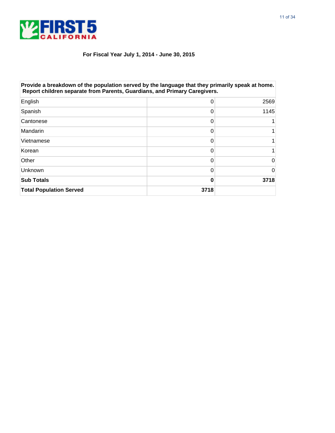

| Provide a breakdown of the population served by the language that they primarily speak at home.<br>Report children separate from Parents, Guardians, and Primary Caregivers. |      |      |
|------------------------------------------------------------------------------------------------------------------------------------------------------------------------------|------|------|
| English                                                                                                                                                                      | 0    | 2569 |
| Spanish                                                                                                                                                                      | 0    | 1145 |
| Cantonese                                                                                                                                                                    | 0    |      |
| Mandarin                                                                                                                                                                     | 0    |      |
| Vietnamese                                                                                                                                                                   | 0    |      |
| Korean                                                                                                                                                                       | 0    |      |
| Other                                                                                                                                                                        | 0    | 0    |
| Unknown                                                                                                                                                                      | 0    | 0    |
| <b>Sub Totals</b>                                                                                                                                                            | O    | 3718 |
| <b>Total Population Served</b>                                                                                                                                               | 3718 |      |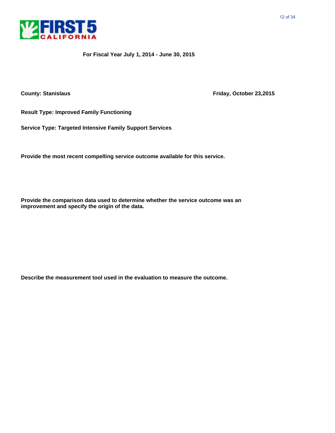

**County: Stanislaus County: Stanislaus Friday, October 23,2015** 

**Result Type: Improved Family Functioning**

**Service Type: Targeted Intensive Family Support Services**

**Provide the most recent compelling service outcome available for this service.**

**Provide the comparison data used to determine whether the service outcome was an improvement and specify the origin of the data.**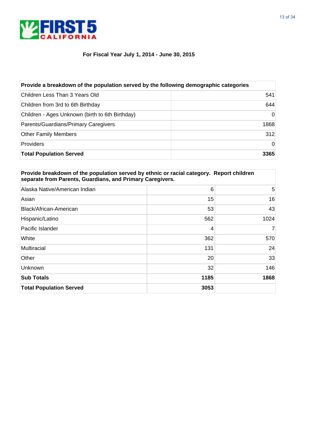

| Provide a breakdown of the population served by the following demographic categories |          |  |
|--------------------------------------------------------------------------------------|----------|--|
| Children Less Than 3 Years Old                                                       | 541      |  |
| Children from 3rd to 6th Birthday                                                    | 644      |  |
| Children - Ages Unknown (birth to 6th Birthday)                                      | $\Omega$ |  |
| Parents/Guardians/Primary Caregivers                                                 | 1868     |  |
| <b>Other Family Members</b>                                                          | 312      |  |
| <b>Providers</b>                                                                     | $\Omega$ |  |
| <b>Total Population Served</b>                                                       | 3365     |  |

| Provide breakdown of the population served by ethnic or racial category. Report children<br>separate from Parents, Guardians, and Primary Caregivers. |      |                |
|-------------------------------------------------------------------------------------------------------------------------------------------------------|------|----------------|
| Alaska Native/American Indian                                                                                                                         | 6    | 5              |
| Asian                                                                                                                                                 | 15   | 16             |
| Black/African-American                                                                                                                                | 53   | 43             |
| Hispanic/Latino                                                                                                                                       | 562  | 1024           |
| Pacific Islander                                                                                                                                      | 4    | $\overline{7}$ |
| White                                                                                                                                                 | 362  | 570            |
| Multiracial                                                                                                                                           | 131  | 24             |
| Other                                                                                                                                                 | 20   | 33             |
| Unknown                                                                                                                                               | 32   | 146            |
| <b>Sub Totals</b>                                                                                                                                     | 1185 | 1868           |
| <b>Total Population Served</b>                                                                                                                        | 3053 |                |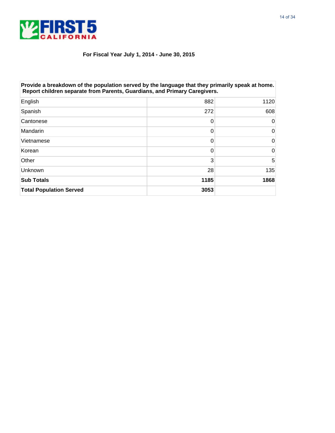

| Provide a breakdown of the population served by the language that they primarily speak at home.<br>Report children separate from Parents, Guardians, and Primary Caregivers. |      |      |
|------------------------------------------------------------------------------------------------------------------------------------------------------------------------------|------|------|
| English                                                                                                                                                                      | 882  | 1120 |
| Spanish                                                                                                                                                                      | 272  | 608  |
| Cantonese                                                                                                                                                                    | 0    | 0    |
| Mandarin                                                                                                                                                                     | 0    | 0    |
| Vietnamese                                                                                                                                                                   | 0    | 0    |
| Korean                                                                                                                                                                       | 0    | 0    |
| Other                                                                                                                                                                        | 3    | 5    |
| Unknown                                                                                                                                                                      | 28   | 135  |
| <b>Sub Totals</b>                                                                                                                                                            | 1185 | 1868 |
| <b>Total Population Served</b>                                                                                                                                               | 3053 |      |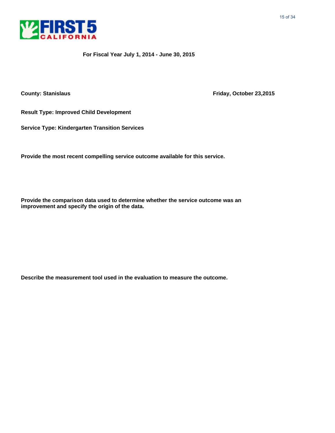

**County: Stanislaus County: Stanislaus Friday, October 23,2015** 

**Result Type: Improved Child Development**

**Service Type: Kindergarten Transition Services**

**Provide the most recent compelling service outcome available for this service.**

**Provide the comparison data used to determine whether the service outcome was an improvement and specify the origin of the data.**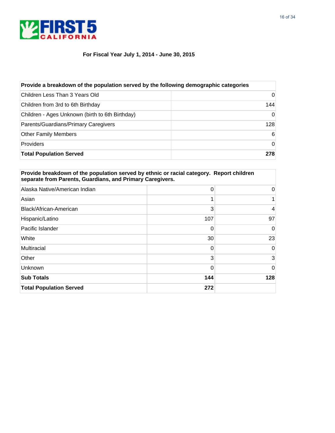

| Provide a breakdown of the population served by the following demographic categories |          |  |
|--------------------------------------------------------------------------------------|----------|--|
| Children Less Than 3 Years Old                                                       | 0        |  |
| Children from 3rd to 6th Birthday                                                    | 144      |  |
| Children - Ages Unknown (birth to 6th Birthday)                                      | $\Omega$ |  |
| Parents/Guardians/Primary Caregivers                                                 | 128      |  |
| <b>Other Family Members</b>                                                          | 6        |  |
| <b>Providers</b>                                                                     | $\Omega$ |  |
| <b>Total Population Served</b>                                                       | 278      |  |

| Provide breakdown of the population served by ethnic or racial category. Report children<br>separate from Parents, Guardians, and Primary Caregivers. |          |          |
|-------------------------------------------------------------------------------------------------------------------------------------------------------|----------|----------|
| Alaska Native/American Indian                                                                                                                         | 0        | 0        |
| Asian                                                                                                                                                 |          |          |
| Black/African-American                                                                                                                                | 3        | 4        |
| Hispanic/Latino                                                                                                                                       | 107      | 97       |
| Pacific Islander                                                                                                                                      | 0        | $\Omega$ |
| White                                                                                                                                                 | 30       | 23       |
| Multiracial                                                                                                                                           | 0        | $\Omega$ |
| Other                                                                                                                                                 | 3        | 3        |
| Unknown                                                                                                                                               | $\Omega$ | $\Omega$ |
| <b>Sub Totals</b>                                                                                                                                     | 144      | 128      |
| <b>Total Population Served</b>                                                                                                                        | 272      |          |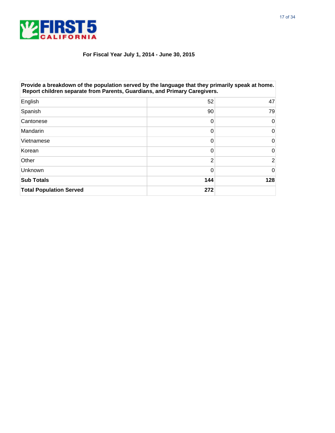

| Provide a breakdown of the population served by the language that they primarily speak at home.<br>Report children separate from Parents, Guardians, and Primary Caregivers. |     |     |
|------------------------------------------------------------------------------------------------------------------------------------------------------------------------------|-----|-----|
| English                                                                                                                                                                      | 52  | 47  |
| Spanish                                                                                                                                                                      | 90  | 79  |
| Cantonese                                                                                                                                                                    | 0   | 0   |
| Mandarin                                                                                                                                                                     | 0   | 0   |
| Vietnamese                                                                                                                                                                   | 0   | 0   |
| Korean                                                                                                                                                                       | 0   | 0   |
| Other                                                                                                                                                                        | 2   | 2   |
| Unknown                                                                                                                                                                      | 0   | 0   |
| <b>Sub Totals</b>                                                                                                                                                            | 144 | 128 |
| <b>Total Population Served</b>                                                                                                                                               | 272 |     |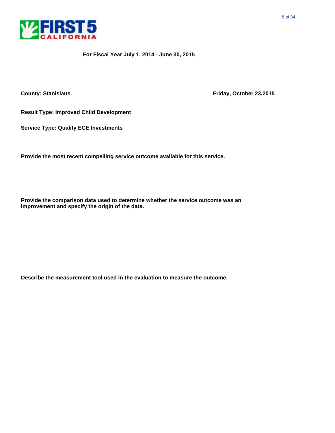

**County: Stanislaus County: Stanislaus Friday, October 23,2015** 

**Result Type: Improved Child Development**

**Service Type: Quality ECE Investments**

**Provide the most recent compelling service outcome available for this service.**

**Provide the comparison data used to determine whether the service outcome was an improvement and specify the origin of the data.**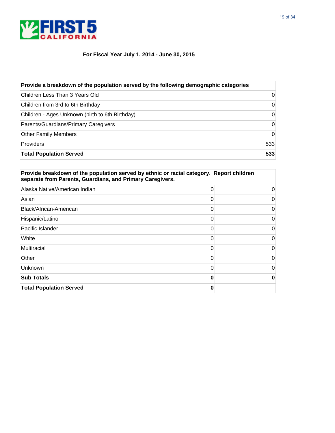

| Provide a breakdown of the population served by the following demographic categories |          |  |
|--------------------------------------------------------------------------------------|----------|--|
| Children Less Than 3 Years Old                                                       | 0        |  |
| Children from 3rd to 6th Birthday                                                    | 0        |  |
| Children - Ages Unknown (birth to 6th Birthday)                                      | $\Omega$ |  |
| Parents/Guardians/Primary Caregivers                                                 | $\Omega$ |  |
| <b>Other Family Members</b>                                                          | $\Omega$ |  |
| <b>Providers</b>                                                                     | 533      |  |
| <b>Total Population Served</b>                                                       | 533      |  |

| Provide breakdown of the population served by ethnic or racial category. Report children<br>separate from Parents, Guardians, and Primary Caregivers. |   |          |
|-------------------------------------------------------------------------------------------------------------------------------------------------------|---|----------|
| Alaska Native/American Indian                                                                                                                         | 0 | 0        |
| Asian                                                                                                                                                 | 0 | 0        |
| Black/African-American                                                                                                                                | 0 | 0        |
| Hispanic/Latino                                                                                                                                       | 0 | 0        |
| Pacific Islander                                                                                                                                      | 0 | $\Omega$ |
| White                                                                                                                                                 | 0 | 0        |
| Multiracial                                                                                                                                           | 0 | $\Omega$ |
| Other                                                                                                                                                 | 0 | 0        |
| Unknown                                                                                                                                               | 0 | 0        |
| <b>Sub Totals</b>                                                                                                                                     | 0 | 0        |
| <b>Total Population Served</b>                                                                                                                        | 0 |          |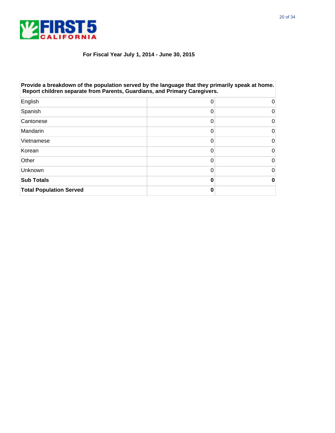

| Provide a breakdown of the population served by the language that they primarily speak at home.<br>Report children separate from Parents, Guardians, and Primary Caregivers. |   |          |
|------------------------------------------------------------------------------------------------------------------------------------------------------------------------------|---|----------|
| English                                                                                                                                                                      | 0 |          |
| Spanish                                                                                                                                                                      | 0 | 0        |
| Cantonese                                                                                                                                                                    | 0 | 0        |
| Mandarin                                                                                                                                                                     | 0 | 0        |
| Vietnamese                                                                                                                                                                   | 0 | 0        |
| Korean                                                                                                                                                                       | 0 | 0        |
| Other                                                                                                                                                                        | 0 | $\Omega$ |
| Unknown                                                                                                                                                                      | 0 | 0        |
| <b>Sub Totals</b>                                                                                                                                                            |   | 0        |
| <b>Total Population Served</b>                                                                                                                                               | O |          |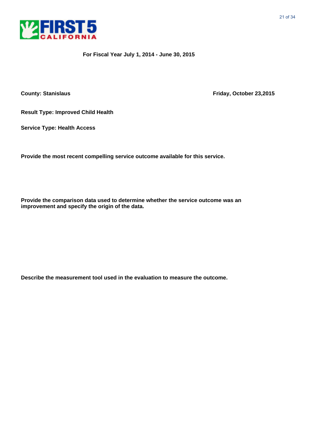

**County: Stanislaus County: Stanislaus Friday, October 23,2015** 

**Result Type: Improved Child Health**

**Service Type: Health Access**

**Provide the most recent compelling service outcome available for this service.**

**Provide the comparison data used to determine whether the service outcome was an improvement and specify the origin of the data.**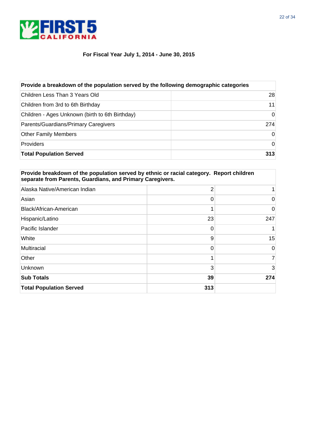

| Provide a breakdown of the population served by the following demographic categories |          |  |
|--------------------------------------------------------------------------------------|----------|--|
| Children Less Than 3 Years Old                                                       | 28       |  |
| Children from 3rd to 6th Birthday                                                    | 11       |  |
| Children - Ages Unknown (birth to 6th Birthday)                                      | $\Omega$ |  |
| Parents/Guardians/Primary Caregivers                                                 | 274      |  |
| <b>Other Family Members</b>                                                          | $\Omega$ |  |
| <b>Providers</b>                                                                     | 0        |  |
| <b>Total Population Served</b>                                                       | 313      |  |

| Provide breakdown of the population served by ethnic or racial category. Report children<br>separate from Parents, Guardians, and Primary Caregivers. |     |          |
|-------------------------------------------------------------------------------------------------------------------------------------------------------|-----|----------|
| Alaska Native/American Indian                                                                                                                         | 2   |          |
| Asian                                                                                                                                                 | 0   | 0        |
| Black/African-American                                                                                                                                |     | 0        |
| Hispanic/Latino                                                                                                                                       | 23  | 247      |
| Pacific Islander                                                                                                                                      | 0   |          |
| White                                                                                                                                                 | 9   | 15       |
| Multiracial                                                                                                                                           | 0   | $\Omega$ |
| Other                                                                                                                                                 |     | 7        |
| Unknown                                                                                                                                               | 3   | 3        |
| <b>Sub Totals</b>                                                                                                                                     | 39  | 274      |
| <b>Total Population Served</b>                                                                                                                        | 313 |          |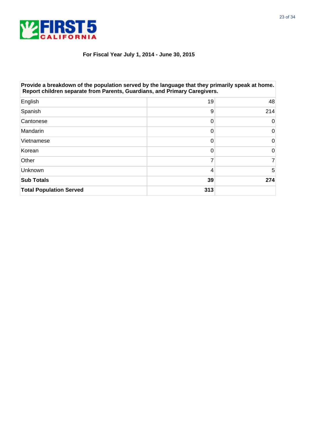

| Provide a breakdown of the population served by the language that they primarily speak at home.<br>Report children separate from Parents, Guardians, and Primary Caregivers. |     |          |
|------------------------------------------------------------------------------------------------------------------------------------------------------------------------------|-----|----------|
| English                                                                                                                                                                      | 19  | 48       |
| Spanish                                                                                                                                                                      | 9   | 214      |
| Cantonese                                                                                                                                                                    | 0   | 0        |
| <b>Mandarin</b>                                                                                                                                                              | 0   | $\Omega$ |
| Vietnamese                                                                                                                                                                   | 0   | 0        |
| Korean                                                                                                                                                                       | 0   | 0        |
| Other                                                                                                                                                                        |     |          |
| Unknown                                                                                                                                                                      | 4   | 5        |
| <b>Sub Totals</b>                                                                                                                                                            | 39  | 274      |
| <b>Total Population Served</b>                                                                                                                                               | 313 |          |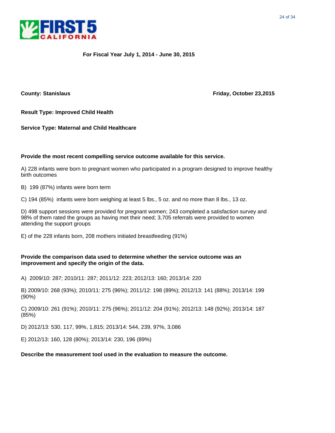



**County: Stanislaus County: Stanislaus Friday, October 23,2015** 

**Result Type: Improved Child Health**

**Service Type: Maternal and Child Healthcare**

#### **Provide the most recent compelling service outcome available for this service.**

A) 228 infants were born to pregnant women who participated in a program designed to improve healthy birth outcomes

B) 199 (87%) infants were born term

C) 194 (85%) infants were born weighing at least 5 lbs., 5 oz. and no more than 8 lbs., 13 oz.

D) 498 support sessions were provided for pregnant women; 243 completed a satisfaction survey and 98% of them rated the groups as having met their need; 3,705 referrals were provided to women attending the support groups

E) of the 228 infants born, 208 mothers initiated breastfeeding (91%)

#### **Provide the comparison data used to determine whether the service outcome was an improvement and specify the origin of the data.**

A) 2009/10: 287; 2010/11: 287; 2011/12: 223; 2012/13: 160; 2013/14: 220

B) 2009/10: 268 (93%); 2010/11: 275 (96%); 2011/12: 198 (89%); 2012/13: 141 (88%); 2013/14: 199 (90%)

C) 2009/10: 261 (91%); 2010/11: 275 (96%); 2011/12: 204 (91%); 2012/13: 148 (92%); 2013/14: 187 (85%)

D) 2012/13: 530, 117, 99%, 1,815; 2013/14: 544, 239, 97%, 3,086

E) 2012/13: 160, 128 (80%); 2013/14: 230, 196 (89%)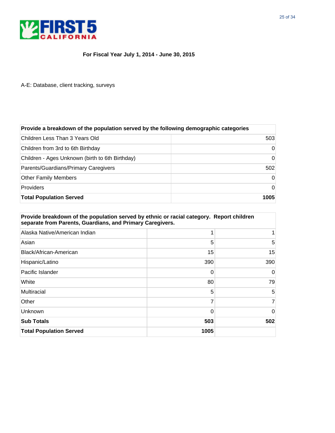

A-E: Database, client tracking, surveys

| Provide a breakdown of the population served by the following demographic categories |      |  |
|--------------------------------------------------------------------------------------|------|--|
| Children Less Than 3 Years Old                                                       | 503  |  |
| Children from 3rd to 6th Birthday                                                    | 0    |  |
| Children - Ages Unknown (birth to 6th Birthday)                                      | 0    |  |
| Parents/Guardians/Primary Caregivers                                                 | 502  |  |
| <b>Other Family Members</b>                                                          | 0    |  |
| <b>Providers</b>                                                                     | 0    |  |
| <b>Total Population Served</b>                                                       | 1005 |  |

| Provide breakdown of the population served by ethnic or racial category. Report children<br>separate from Parents, Guardians, and Primary Caregivers. |          |          |
|-------------------------------------------------------------------------------------------------------------------------------------------------------|----------|----------|
| Alaska Native/American Indian                                                                                                                         |          |          |
| Asian                                                                                                                                                 | 5        | 5        |
| Black/African-American                                                                                                                                | 15       | 15       |
| Hispanic/Latino                                                                                                                                       | 390      | 390      |
| Pacific Islander                                                                                                                                      | 0        | $\Omega$ |
| White                                                                                                                                                 | 80       | 79       |
| Multiracial                                                                                                                                           | 5        | 5        |
| Other                                                                                                                                                 | 7        | 7        |
| Unknown                                                                                                                                               | $\Omega$ | $\Omega$ |
| <b>Sub Totals</b>                                                                                                                                     | 503      | 502      |
| <b>Total Population Served</b>                                                                                                                        | 1005     |          |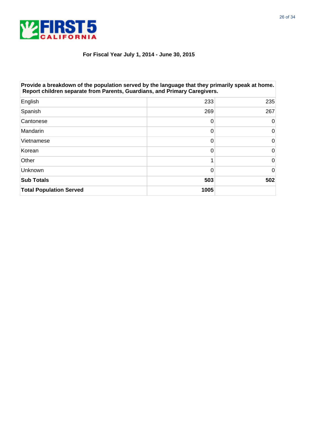

| Provide a breakdown of the population served by the language that they primarily speak at home.<br>Report children separate from Parents, Guardians, and Primary Caregivers. |      |     |
|------------------------------------------------------------------------------------------------------------------------------------------------------------------------------|------|-----|
| English                                                                                                                                                                      | 233  | 235 |
| Spanish                                                                                                                                                                      | 269  | 267 |
| Cantonese                                                                                                                                                                    | 0    | 0   |
| Mandarin                                                                                                                                                                     | 0    | 0   |
| Vietnamese                                                                                                                                                                   | 0    | 0   |
| Korean                                                                                                                                                                       | 0    | 0   |
| Other                                                                                                                                                                        |      | 0   |
| Unknown                                                                                                                                                                      | 0    | 0   |
| <b>Sub Totals</b>                                                                                                                                                            | 503  | 502 |
| <b>Total Population Served</b>                                                                                                                                               | 1005 |     |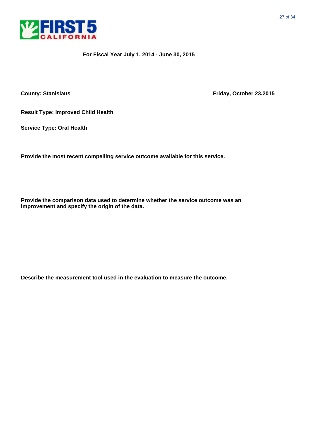

**County: Stanislaus County: Stanislaus Friday, October 23,2015** 

**Result Type: Improved Child Health**

**Service Type: Oral Health**

**Provide the most recent compelling service outcome available for this service.**

**Provide the comparison data used to determine whether the service outcome was an improvement and specify the origin of the data.**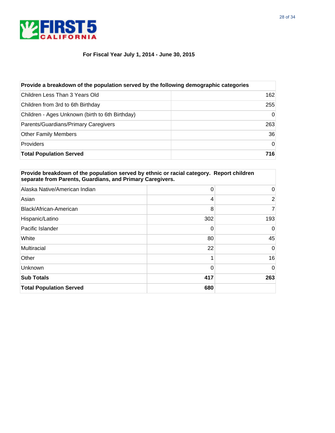

| Provide a breakdown of the population served by the following demographic categories |          |  |
|--------------------------------------------------------------------------------------|----------|--|
| Children Less Than 3 Years Old                                                       | 162      |  |
| Children from 3rd to 6th Birthday                                                    | 255      |  |
| Children - Ages Unknown (birth to 6th Birthday)                                      | $\Omega$ |  |
| Parents/Guardians/Primary Caregivers                                                 | 263      |  |
| <b>Other Family Members</b>                                                          | 36       |  |
| <b>Providers</b>                                                                     | $\Omega$ |  |
| <b>Total Population Served</b>                                                       | 716      |  |

| Provide breakdown of the population served by ethnic or racial category. Report children<br>separate from Parents, Guardians, and Primary Caregivers. |          |                |
|-------------------------------------------------------------------------------------------------------------------------------------------------------|----------|----------------|
| Alaska Native/American Indian                                                                                                                         | 0        | 0              |
| Asian                                                                                                                                                 | 4        | $\overline{2}$ |
| Black/African-American                                                                                                                                | 8        | 7              |
| Hispanic/Latino                                                                                                                                       | 302      | 193            |
| Pacific Islander                                                                                                                                      | 0        | $\Omega$       |
| White                                                                                                                                                 | 80       | 45             |
| Multiracial                                                                                                                                           | 22       | $\Omega$       |
| Other                                                                                                                                                 |          | 16             |
| Unknown                                                                                                                                               | $\Omega$ | $\Omega$       |
| <b>Sub Totals</b>                                                                                                                                     | 417      | 263            |
| <b>Total Population Served</b>                                                                                                                        | 680      |                |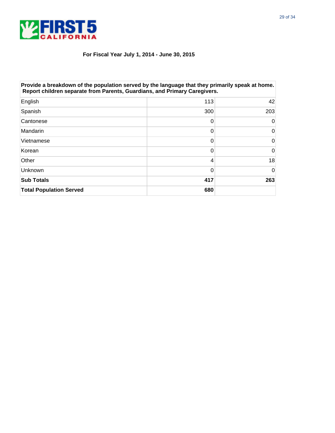

| Provide a breakdown of the population served by the language that they primarily speak at home.<br>Report children separate from Parents, Guardians, and Primary Caregivers. |     |          |
|------------------------------------------------------------------------------------------------------------------------------------------------------------------------------|-----|----------|
| English                                                                                                                                                                      | 113 | 42       |
| Spanish                                                                                                                                                                      | 300 | 203      |
| Cantonese                                                                                                                                                                    | 0   | 0        |
| Mandarin                                                                                                                                                                     | 0   | 0        |
| Vietnamese                                                                                                                                                                   | 0   | 0        |
| Korean                                                                                                                                                                       | 0   | 0        |
| Other                                                                                                                                                                        | 4   | 18       |
| Unknown                                                                                                                                                                      | 0   | $\Omega$ |
| <b>Sub Totals</b>                                                                                                                                                            | 417 | 263      |
| <b>Total Population Served</b>                                                                                                                                               | 680 |          |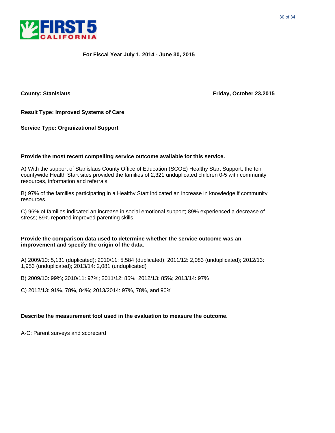



**County: Stanislaus Friday, October 23,2015**

**Result Type: Improved Systems of Care**

**Service Type: Organizational Support**

#### **Provide the most recent compelling service outcome available for this service.**

A) With the support of Stanislaus County Office of Education (SCOE) Healthy Start Support, the ten countywide Health Start sites provided the families of 2,321 unduplicated children 0-5 with community resources, information and referrals.

B) 97% of the families participating in a Healthy Start indicated an increase in knowledge if community resources.

C) 96% of families indicated an increase in social emotional support; 89% experienced a decrease of stress; 89% reported improved parenting skills.

#### **Provide the comparison data used to determine whether the service outcome was an improvement and specify the origin of the data.**

A) 2009/10: 5,131 (duplicated); 2010/11: 5,584 (duplicated); 2011/12: 2,083 (unduplicated); 2012/13: 1,953 (unduplicated); 2013/14: 2,081 (unduplicated)

B) 2009/10: 99%; 2010/11: 97%; 2011/12: 85%; 2012/13: 85%; 2013/14: 97%

C) 2012/13: 91%, 78%, 84%; 2013/2014: 97%, 78%, and 90%

#### **Describe the measurement tool used in the evaluation to measure the outcome.**

A-C: Parent surveys and scorecard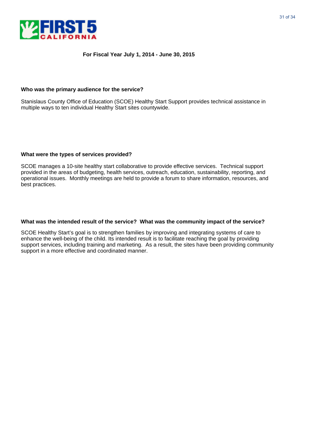



#### **Who was the primary audience for the service?**

Stanislaus County Office of Education (SCOE) Healthy Start Support provides technical assistance in multiple ways to ten individual Healthy Start sites countywide.

#### **What were the types of services provided?**

SCOE manages a 10-site healthy start collaborative to provide effective services. Technical support provided in the areas of budgeting, health services, outreach, education, sustainability, reporting, and operational issues. Monthly meetings are held to provide a forum to share information, resources, and best practices.

#### **What was the intended result of the service? What was the community impact of the service?**

SCOE Healthy Start's goal is to strengthen families by improving and integrating systems of care to enhance the well-being of the child. Its intended result is to facilitate reaching the goal by providing support services, including training and marketing. As a result, the sites have been providing community support in a more effective and coordinated manner.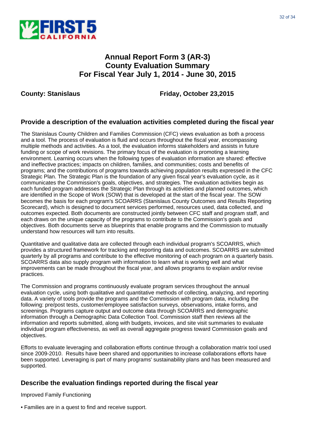

### **Annual Report Form 3 (AR-3) County Evaluation Summary For Fiscal Year July 1, 2014 - June 30, 2015**

**County: Stanislaus Friday, October 23,2015**

#### **Provide a description of the evaluation activities completed during the fiscal year**

The Stanislaus County Children and Families Commission (CFC) views evaluation as both a process and a tool. The process of evaluation is fluid and occurs throughout the fiscal year, encompassing multiple methods and activities. As a tool, the evaluation informs stakeholders and assists in future funding or scope of work revisions. The primary focus of the evaluation is promoting a learning environment. Learning occurs when the following types of evaluation information are shared: effective and ineffective practices; impacts on children, families, and communities; costs and benefits of programs; and the contributions of programs towards achieving population results expressed in the CFC Strategic Plan. The Strategic Plan is the foundation of any given fiscal year's evaluation cycle, as it communicates the Commission's goals, objectives, and strategies. The evaluation activities begin as each funded program addresses the Strategic Plan through its activities and planned outcomes, which are identified in the Scope of Work (SOW) that is developed at the start of the fiscal year. The SOW becomes the basis for each program's SCOARRS (Stanislaus County Outcomes and Results Reporting Scorecard), which is designed to document services performed, resources used, data collected, and outcomes expected. Both documents are constructed jointly between CFC staff and program staff, and each draws on the unique capacity of the programs to contribute to the Commission's goals and objectives. Both documents serve as blueprints that enable programs and the Commission to mutually understand how resources will turn into results.

Quantitative and qualitative data are collected through each individual program's SCOARRS, which provides a structured framework for tracking and reporting data and outcomes. SCOARRS are submitted quarterly by all programs and contribute to the effective monitoring of each program on a quarterly basis. SCOARRS data also supply program with information to learn what is working well and what improvements can be made throughout the fiscal year, and allows programs to explain and/or revise practices.

The Commission and programs continuously evaluate program services throughout the annual evaluation cycle, using both qualitative and quantitative methods of collecting, analyzing, and reporting data. A variety of tools provide the programs and the Commission with program data, including the following: pre/post tests, customer/employee satisfaction surveys, observations, intake forms, and screenings. Programs capture output and outcome data through SCOARRS and demographic information through a Demographic Data Collection Tool. Commission staff then reviews all the information and reports submitted, along with budgets, invoices, and site visit summaries to evaluate individual program effectiveness, as well as overall aggregate progress toward Commission goals and objectives.

Efforts to evaluate leveraging and collaboration efforts continue through a collaboration matrix tool used since 2009-2010. Results have been shared and opportunities to increase collaborations efforts have been supported. Leveraging is part of many programs' sustainability plans and has been measured and supported.

#### **Describe the evaluation findings reported during the fiscal year**

Improved Family Functioning

• Families are in a quest to find and receive support.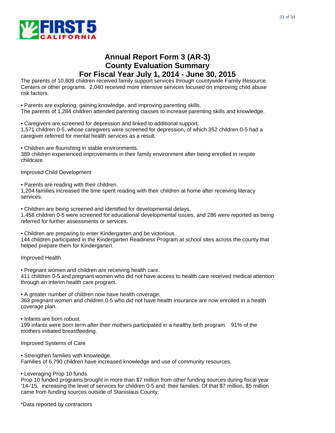

### **Annual Report Form 3 (AR-3) County Evaluation Summary For Fiscal Year July 1, 2014 - June 30, 2015**

The parents of 10,809 children received family support services through countywide Family Resource Centers or other programs. 2,040 received more intensive services focused on improving child abuse risk factors.

• Parents are exploring, gaining knowledge, and improving parenting skills. The parents of 1,284 children attended parenting classes to increase parenting skills and knowledge.

• Caregivers are screened for depression and linked to additional support. 1,571 children 0-5, whose caregivers were screened for depression, of which 352 children 0-5 had a caregiver referred for mental health services as a result.

• Children are flourishing in stable environments.

389 children experienced improvements in their family environment after being enrolled in respite childcare.

Improved Child Development

• Parents are reading with their children.

1,204 families increased the time spent reading with their children at home after receiving literacy services.

• Children are being screened and identified for developmental delays.

1,458 children 0-5 were screened for educational developmental issues, and 286 were reported as being referred for further assessments or services.

• Children are preparing to enter Kindergarten and be victorious.

144 children participated in the Kindergarten Readiness Program at school sites across the county that helped prepare them for Kindergarten.

#### Improved Health

• Pregnant women and children are receiving health care.

411 children 0-5 and pregnant women who did not have access to health care received medical attention through an interim health care program.

• A greater number of children now have health coverage. 363 pregnant women and children 0-5 who did not have health insurance are now enrolled in a health coverage plan.

• Infants are born robust.

199 infants were born term after their mothers participated in a healthy birth program. 91% of the mothers initiated breastfeeding.

Improved Systems of Care

• Strengthen families with knowledge. Families of 6,790 children have increased knowledge and use of community resources.

• Leveraging Prop 10 funds.

Prop 10 funded programs brought in more than \$7 million from other funding sources during fiscal year '14-'15, increasing the level of services for children 0-5 and their families. Of that \$7 million, \$5 million came from funding sources outside of Stanislaus County.

\*Data reported by contractors